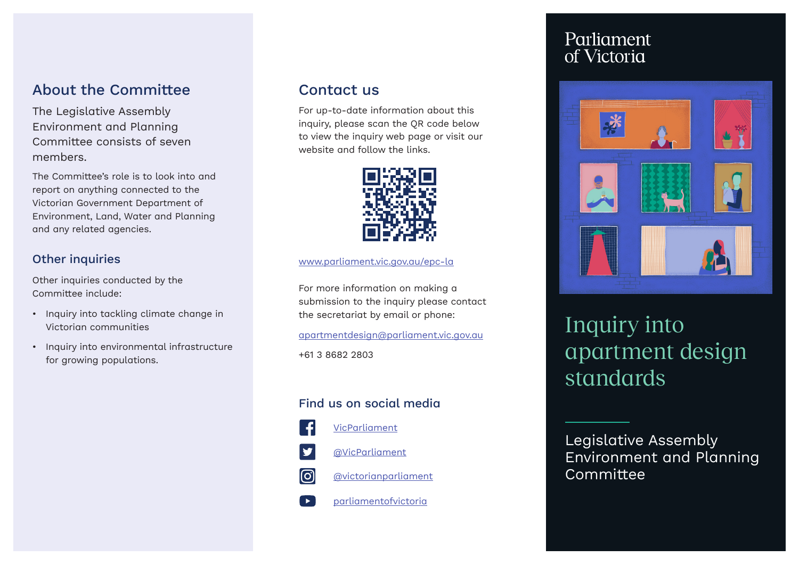#### About the Committee

The Legislative Assembly Environment and Planning Committee consists of seven members.

The Committee's role is to look into and report on anything connected to the Victorian Government Department of Environment, Land, Water and Planning and any related agencies.

#### Other inquiries

Other inquiries conducted by the Committee include:

- Inquiry into tackling climate change in Victorian communities
- Inquiry into environmental infrastructure for growing populations.

### Contact us

For up-to-date information about this inquiry, please scan the QR code below to view the inquiry web page or visit our website and follow the links.



[www.parliament.vic.gov.au/epc-la](https://www.parliament.vic.gov.au/epc-la)

For more information on making a submission to the inquiry please contact the secretariat by email or phone:

[apartmentdesign@parliament.vic.gov.au](mailto:apartmentdesign%40parliament.vic.gov.au%20?subject=)

+61 3 8682 2803

#### Find us on social media



- [@VicParliament](https://twitter.com/vicparliament)
- [@victorianparliament](https://www.instagram.com/victorianparliament/)
- [parliamentofvictoria](https://www.youtube.com/user/parliamentofvictoria)

## Parliament of Victoria



# Inquiry into apartment design standards

Legislative Assembly Environment and Planning Committee